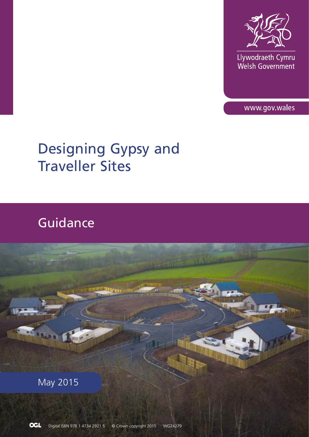

Llywodraeth Cymru<br>Welsh Government

www.gov.wales

# Designing Gypsy and Traveller Sites

# Guidance

May 2015

m.

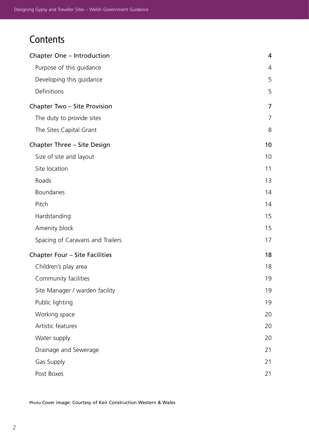# **Contents**

| Chapter One - Introduction       | 4              |
|----------------------------------|----------------|
| Purpose of this guidance         | 4              |
| Developing this guidance         | 5              |
| Definitions                      | 5              |
| Chapter Two - Site Provision     | $\overline{7}$ |
| The duty to provide sites        | 7              |
| The Sites Capital Grant          | 8              |
| Chapter Three - Site Design      | 10             |
| Size of site and layout          | 10             |
| Site location                    | 11             |
| Roads                            | 13             |
| <b>Boundaries</b>                | 14             |
| Pitch                            | 14             |
| Hardstanding                     | 15             |
| Amenity block                    | 15             |
| Spacing of Caravans and Trailers | 17             |
| Chapter Four - Site Facilities   | 18             |
| Children's play area             | 18             |
| Community facilities             | 19             |
| Site Manager / warden facility   | 19             |
| Public lighting                  | 19             |
| Working space                    | 20             |
| Artistic features                | 20             |
| Water supply                     | 20             |
| Drainage and Sewerage            | 21             |
| Gas Supply                       | 21             |
| Post Boxes                       | 21             |

Photo Cover image: Courtesy of Keir Construction Western & Wales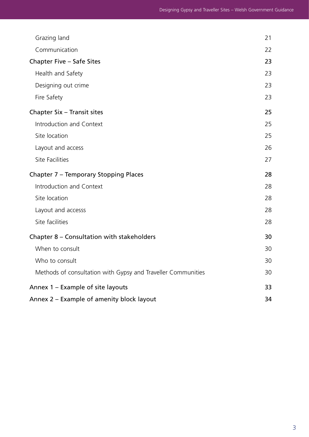| Grazing land                                                 | 21 |
|--------------------------------------------------------------|----|
| Communication                                                | 22 |
| Chapter Five - Safe Sites                                    | 23 |
| Health and Safety                                            | 23 |
| Designing out crime                                          | 23 |
| Fire Safety                                                  | 23 |
| Chapter Six - Transit sites                                  | 25 |
| Introduction and Context                                     | 25 |
| Site location                                                | 25 |
| Layout and access                                            | 26 |
| Site Facilities                                              | 27 |
| Chapter 7 - Temporary Stopping Places                        | 28 |
| Introduction and Context                                     | 28 |
| Site location                                                | 28 |
| Layout and accesss                                           | 28 |
| Site facilities                                              | 28 |
| Chapter 8 - Consultation with stakeholders                   | 30 |
| When to consult                                              | 30 |
| Who to consult                                               | 30 |
| Methods of consultation with Gypsy and Traveller Communities | 30 |
| Annex 1 - Example of site layouts                            | 33 |
| Annex 2 – Example of amenity block layout                    | 34 |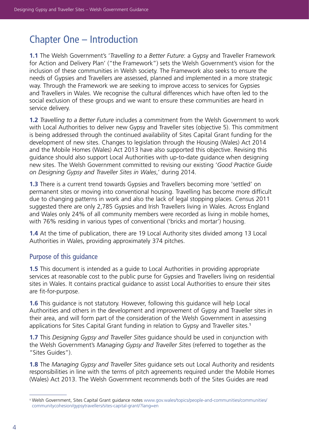# Chapter One – Introduction

**1.1** The Welsh Government's '*Travelling to a Better Future*: a Gypsy and Traveller Framework for Action and Delivery Plan' ("the Framework") sets the Welsh Government's vision for the inclusion of these communities in Welsh society. The Framework also seeks to ensure the needs of Gypsies and Travellers are assessed, planned and implemented in a more strategic way. Through the Framework we are seeking to improve access to services for Gypsies and Travellers in Wales. We recognise the cultural differences which have often led to the social exclusion of these groups and we want to ensure these communities are heard in service delivery.

**1.2** *Travelling to a Better Future* includes a commitment from the Welsh Government to work with Local Authorities to deliver new Gypsy and Traveller sites (objective 5). This commitment is being addressed through the continued availability of Sites Capital Grant funding for the development of new sites. Changes to legislation through the Housing (Wales) Act 2014 and the Mobile Homes (Wales) Act 2013 have also supported this objective. Revising this guidance should also support Local Authorities with up-to-date guidance when designing new sites. The Welsh Government committed to revising our existing '*Good Practice Guide on Designing Gypsy and Traveller Sites in Wales*,' during 2014.

**1.3** There is a current trend towards Gypsies and Travellers becoming more 'settled' on permanent sites or moving into conventional housing. Travelling has become more difficult due to changing patterns in work and also the lack of legal stopping places. Census 2011 suggested there are only 2,785 Gypsies and Irish Travellers living in Wales. Across England and Wales only 24% of all community members were recorded as living in mobile homes, with 76% residing in various types of conventional ('bricks and mortar') housing.

**1.4** At the time of publication, there are 19 Local Authority sites divided among 13 Local Authorities in Wales, providing approximately 374 pitches.

# Purpose of this guidance

**1.5** This document is intended as a guide to Local Authorities in providing appropriate services at reasonable cost to the public purse for Gypsies and Travellers living on residential sites in Wales. It contains practical guidance to assist Local Authorities to ensure their sites are fit-for-purpose.

**1.6** This guidance is not statutory. However, following this guidance will help Local Authorities and others in the development and improvement of Gypsy and Traveller sites in their area, and will form part of the consideration of the Welsh Government in assessing applications for Sites Capital Grant funding in relation to Gypsy and Traveller sites.<sup>1</sup>

**1.7** This *Designing Gypsy and Traveller Sites* guidance should be used in conjunction with the Welsh Government's *Managing Gypsy and Traveller Sites* (referred to together as the "Sites Guides").

**1.8** The *Managing Gypsy and Traveller Sites* guidance sets out Local Authority and residents responsibilities in line with the terms of pitch agreements required under the Mobile Homes (Wales) Act 2013. The Welsh Government recommends both of the Sites Guides are read

<sup>1</sup> Welsh Government, Sites Capital Grant guidance notes [www.gov.wales/topics/people-and-communities/communities/](http://www.gov.wales/topics/people-and-communities/communities/communitycohesion/gypsytravellers/sites-capital-grant/?lang=en) [communitycohesion/gypsytravellers/sites-capital-grant/?lang=en](http://www.gov.wales/topics/people-and-communities/communities/communitycohesion/gypsytravellers/sites-capital-grant/?lang=en)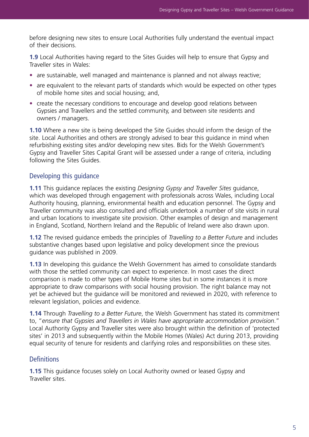before designing new sites to ensure Local Authorities fully understand the eventual impact of their decisions.

**1.9** Local Authorities having regard to the Sites Guides will help to ensure that Gypsy and Traveller sites in Wales:

- are sustainable, well managed and maintenance is planned and not always reactive;
- are equivalent to the relevant parts of standards which would be expected on other types of mobile home sites and social housing; and,
- create the necessary conditions to encourage and develop good relations between Gypsies and Travellers and the settled community, and between site residents and owners / managers.

**1.10** Where a new site is being developed the Site Guides should inform the design of the site. Local Authorities and others are strongly advised to bear this guidance in mind when refurbishing existing sites and/or developing new sites. Bids for the Welsh Government's Gypsy and Traveller Sites Capital Grant will be assessed under a range of criteria, including following the Sites Guides.

### Developing this guidance

**1.11** This guidance replaces the existing *Designing Gypsy and Traveller Sites* guidance, which was developed through engagement with professionals across Wales, including Local Authority housing, planning, environmental health and education personnel. The Gypsy and Traveller community was also consulted and officials undertook a number of site visits in rural and urban locations to investigate site provision. Other examples of design and management in England, Scotland, Northern Ireland and the Republic of Ireland were also drawn upon.

**1.12** The revised guidance embeds the principles of *Travelling to a Better Future* and includes substantive changes based upon legislative and policy development since the previous guidance was published in 2009.

**1.13** In developing this guidance the Welsh Government has aimed to consolidate standards with those the settled community can expect to experience. In most cases the direct comparison is made to other types of Mobile Home sites but in some instances it is more appropriate to draw comparisons with social housing provision. The right balance may not yet be achieved but the guidance will be monitored and reviewed in 2020, with reference to relevant legislation, policies and evidence.

**1.14** Through *Travelling to a Better Future*, the Welsh Government has stated its commitment to, "*ensure that Gypsies and Travellers in Wales have appropriate accommodation provision*." Local Authority Gypsy and Traveller sites were also brought within the definition of 'protected sites' in 2013 and subsequently within the Mobile Homes (Wales) Act during 2013, providing equal security of tenure for residents and clarifying roles and responsibilities on these sites.

#### **Definitions**

**1.15** This guidance focuses solely on Local Authority owned or leased Gypsy and Traveller sites.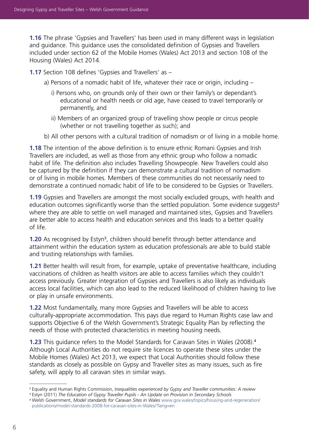**1.16** The phrase 'Gypsies and Travellers' has been used in many different ways in legislation and guidance. This guidance uses the consolidated definition of Gypsies and Travellers included under section 62 of the Mobile Homes (Wales) Act 2013 and section 108 of the Housing (Wales) Act 2014.

**1.17** Section 108 defines 'Gypsies and Travellers' as –

- a) Persons of a nomadic habit of life, whatever their race or origin, including
	- i) Persons who, on grounds only of their own or their family's or dependant's educational or health needs or old age, have ceased to travel temporarily or permanently, and
	- ii) Members of an organized group of travelling show people or circus people (whether or not travelling together as such); and
- b) All other persons with a cultural tradition of nomadism or of living in a mobile home.

**1.18** The intention of the above definition is to ensure ethnic Romani Gypsies and Irish Travellers are included, as well as those from any ethnic group who follow a nomadic habit of life. The definition also includes Travelling Showpeople. New Travellers could also be captured by the definition if they can demonstrate a cultural tradition of nomadism or of living in mobile homes. Members of these communities do not necessarily need to demonstrate a continued nomadic habit of life to be considered to be Gypsies or Travellers.

**1.19** Gypsies and Travellers are amongst the most socially excluded groups, with health and education outcomes significantly worse than the settled population. Some evidence suggests<sup>2</sup> where they are able to settle on well managed and maintained sites, Gypsies and Travellers are better able to access health and education services and this leads to a better quality of life.

**1.20** As recognised by Estyn<sup>3</sup>, children should benefit through better attendance and attainment within the education system as education professionals are able to build stable and trusting relationships with families.

**1.21** Better health will result from, for example, uptake of preventative healthcare, including vaccinations of children as health visitors are able to access families which they couldn't access previously. Greater integration of Gypsies and Travellers is also likely as individuals access local facilities, which can also lead to the reduced likelihood of children having to live or play in unsafe environments.

**1.22** Most fundamentally, many more Gypsies and Travellers will be able to access culturally-appropriate accommodation. This pays due regard to Human Rights case law and supports Objective 6 of the Welsh Government's Strategic Equality Plan by reflecting the needs of those with protected characteristics in meeting housing needs.

**1.23** This guidance refers to the Model Standards for Caravan Sites in Wales (2008).<sup>4</sup> Although Local Authorities do not require site licences to operate these sites under the Mobile Homes (Wales) Act 2013, we expect that Local Authorities should follow these standards as closely as possible on Gypsy and Traveller sites as many issues, such as fire safety, will apply to all caravan sites in similar ways.

<sup>2</sup> Equality and Human Rights Commission, I*nequalities experienced by Gypsy and Traveller communities: A review*

<sup>3</sup> Estyn (2011) *The Education of Gypsy Traveller Pupils - An Update on Provision in Secondary Schools*

<sup>4</sup> Welsh Government, *Model standards for Caravan Sites in Wales* [www.gov.wales/topics/housing-and-regeneration/](http://www.gov.wales/topics/housing-and-regeneration/publications/model-standards-2008-for-caravan-sites-in-Wales/?lang=en) [publications/model-standards-2008-for-caravan-sites-in-Wales/?lang=en](http://www.gov.wales/topics/housing-and-regeneration/publications/model-standards-2008-for-caravan-sites-in-Wales/?lang=en)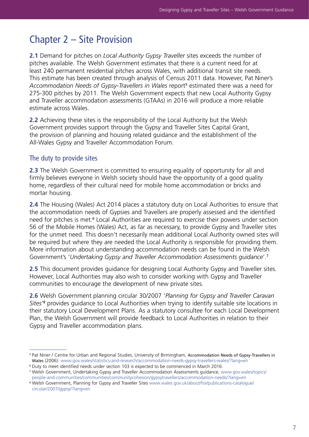# Chapter 2 – Site Provision

**2.1** Demand for pitches on *Local Authority Gypsy Traveller* sites exceeds the number of pitches available. The Welsh Government estimates that there is a current need for at least 240 permanent residential pitches across Wales, with additional transit site needs. This estimate has been created through analysis of Census 2011 data. However, Pat Niner's Accommodation Needs of Gypsy-Travellers in Wales report<sup>5</sup> estimated there was a need for 275-300 pitches by 2011. The Welsh Government expects that new Local Authority Gypsy and Traveller accommodation assessments (GTAAs) in 2016 will produce a more reliable estimate across Wales.

**2.2** Achieving these sites is the responsibility of the Local Authority but the Welsh Government provides support through the Gypsy and Traveller Sites Capital Grant, the provision of planning and housing related guidance and the establishment of the All-Wales Gypsy and Traveller Accommodation Forum.

# The duty to provide sites

**2.3** The Welsh Government is committed to ensuring equality of opportunity for all and firmly believes everyone in Welsh society should have the opportunity of a good quality home, regardless of their cultural need for mobile home accommodation or bricks and mortar housing.

**2.4** The Housing (Wales) Act 2014 places a statutory duty on Local Authorities to ensure that the accommodation needs of Gypsies and Travellers are properly assessed and the identified need for pitches is met.<sup>6</sup> Local Authorities are required to exercise their powers under section 56 of the Mobile Homes (Wales) Act, as far as necessary, to provide Gypsy and Traveller sites for the unmet need. This doesn't necessarily mean additional Local Authority owned sites will be required but where they are needed the Local Authority is responsible for providing them. More information about understanding accommodation needs can be found in the Welsh Government's '*Undertaking Gypsy and Traveller Accommodation Assessments guidance*'.<sup>7</sup>

**2.5** This document provides guidance for designing Local Authority Gypsy and Traveller sites. However, Local Authorities may also wish to consider working with Gypsy and Traveller communities to encourage the development of new private sites.

**2.6** Welsh Government planning circular 30/2007 '*Planning for Gypsy and Traveller Caravan Sites*' 8 provides guidance to Local Authorities when trying to identify suitable site locations in their statutory Local Development Plans. As a statutory consultee for each Local Development Plan, the Welsh Government will provide feedback to Local Authorities in relation to their Gypsy and Traveller accommodation plans.

<sup>5</sup> Pat Niner / Centre for Urban and Regional Studies, University of Birmingham, Accommodation Needs of Gypsy-Travellers in Wales (2006): www.[gov.wales/statistics-and-research/accommodation-needs-gypsy-travellers-wales/?lang=en](http://gov.wales/statistics-and-research/accommodation-needs-gypsy-travellers-wales/?lang=en)

<sup>6</sup> Duty to meet identified needs under section 103 is expected to be commenced in March 2016.

<sup>7</sup> Welsh Government, Undertaking Gypsy and Traveller Accommodation Assessments guidance, www.[gov.wales/topics/](http://gov.wales/topics/people-and-communities/communities/communitycohesion/gypsytravellers/accommodation-needs/?lang=en) [people-and-communities/communities/communitycohesion/gypsytravellers/accommodation-needs/?lang=en](http://gov.wales/topics/people-and-communities/communities/communitycohesion/gypsytravellers/accommodation-needs/?lang=en)

<sup>8</sup> Welsh Government, Planning for Gypsy and Traveller Sites [www.wales.gov.uk/about/foi/publications-catalogue/](http://www.wales.gov.uk/about/foi/publications-catalogue/circular/2007/gypsy/?lang=en) [circular/2007/gypsy/?lang=en](http://www.wales.gov.uk/about/foi/publications-catalogue/circular/2007/gypsy/?lang=en)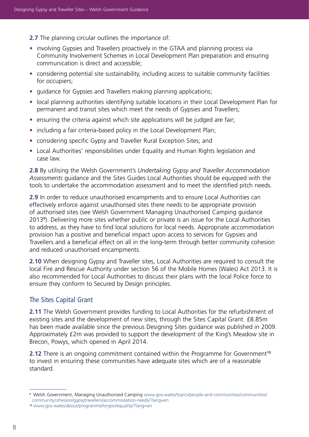**2.7** The planning circular outlines the importance of:

- involving Gypsies and Travellers proactively in the GTAA and planning process via Community Involvement Schemes in Local Development Plan preparation and ensuring communication is direct and accessible;
- considering potential site sustainability, including access to suitable community facilities for occupiers;
- quidance for Gypsies and Travellers making planning applications;
- local planning authorities identifying suitable locations in their Local Development Plan for permanent and transit sites which meet the needs of Gypsies and Travellers;
- ensuring the criteria against which site applications will be judged are fair;
- including a fair criteria-based policy in the Local Development Plan;
- considering specific Gypsy and Traveller Rural Exception Sites; and
- Local Authorities' responsibilities under Equality and Human Rights legislation and case law.

**2.8** By utilising the Welsh Government's *Undertaking Gypsy and Traveller Accommodation Assessments* guidance and the Sites Guides Local Authorities should be equipped with the tools to undertake the accommodation assessment and to meet the identified pitch needs.

**2.9** In order to reduce unauthorised encampments and to ensure Local Authorities can effectively enforce against unauthorised sites there needs to be appropriate provision of authorised sites (see Welsh Government Managing Unauthorised Camping guidance 2013<sup>9</sup> ). Delivering more sites whether public or private is an issue for the Local Authorities to address, as they have to find local solutions for local needs. Appropriate accommodation provision has a positive and beneficial impact upon access to services for Gypsies and Travellers and a beneficial effect on all in the long-term through better community cohesion and reduced unauthorised encampments.

**2.10** When designing Gypsy and Traveller sites, Local Authorities are required to consult the local Fire and Rescue Authority under section 56 of the Mobile Homes (Wales) Act 2013. It is also recommended for Local Authorities to discuss their plans with the local Police force to ensure they conform to Secured by Design principles.

# The Sites Capital Grant

**2.11** The Welsh Government provides funding to Local Authorities for the refurbishment of existing sites and the development of new sites, through the Sites Capital Grant. £8.85m has been made available since the previous Designing Sites guidance was published in 2009. Approximately £2m was provided to support the development of the King's Meadow site in Brecon, Powys, which opened in April 2014.

**2.12** There is an ongoing commitment contained within the Programme for Government<sup>10</sup> to invest in ensuring these communities have adequate sites which are of a reasonable standard.

<sup>9</sup> Welsh Government, Managing Unauthorised Camping www[.gov.wales/topics/people-and-communities/communities/](http://gov.wales/topics/people-and-communities/communities/communitycohesion/gypsytravellers/accommodation-needs/?lang=en) [communitycohesion/gypsytravellers/accommodation-needs/?lang=en](http://gov.wales/topics/people-and-communities/communities/communitycohesion/gypsytravellers/accommodation-needs/?lang=en)

<sup>10</sup> [www.gov.wales/about/programmeforgov/equality/?lang=en](http://www.gov.wales/about/programmeforgov/equality/?lang=en)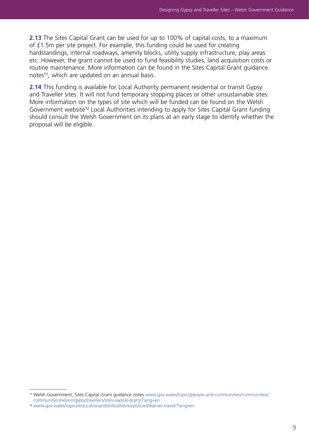**2.13** The Sites Capital Grant can be used for up to 100% of capital costs, to a maximum of £1.5m per site project. For example, this funding could be used for creating hardstandings, internal roadways, amenity blocks, utility supply infrastructure, play areas etc. However, the grant cannot be used to fund feasibility studies, land acquisition costs or routine maintenance. More information can be found in the Sites Capital Grant guidance notes<sup>11</sup>, which are updated on an annual basis.

**2.14** This funding is available for Local Authority permanent residential or transit Gypsy and Traveller sites. It will not fund temporary stopping places or other unsustainable sites. More information on the types of site which will be funded can be found on the Welsh Government website<sup>12</sup> Local Authorities intending to apply for Sites Capital Grant funding should consult the Welsh Government on its plans at an early stage to identify whether the proposal will be eligible.

<sup>11</sup> Welsh Government, Sites Capital Grant guidance notes www[.gov.wales/topics/people-and-communities/communities/](http://gov.wales/topics/people-and-communities/communities/communitycohesion/gypsytravellers/sites-capital-grant/?lang=en) [communitycohesion/gypsytravellers/sites-capital-grant/?lang=en](http://gov.wales/topics/people-and-communities/communities/communitycohesion/gypsytravellers/sites-capital-grant/?lang=en)

<sup>12</sup> www[.gov.wales/topics/educationandskills/allsectorpolicies/learner-travel/?lang=en](http://gov.wales/topics/educationandskills/allsectorpolicies/learner-travel/?lang=en)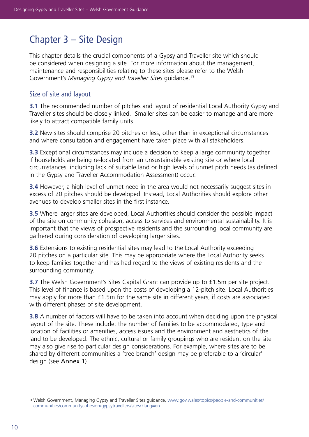# Chapter 3 – Site Design

This chapter details the crucial components of a Gypsy and Traveller site which should be considered when designing a site. For more information about the management, maintenance and responsibilities relating to these sites please refer to the Welsh Government's *Managing Gypsy and Traveller Sites* guidance.13

### Size of site and layout

**3.1** The recommended number of pitches and layout of residential Local Authority Gypsy and Traveller sites should be closely linked. Smaller sites can be easier to manage and are more likely to attract compatible family units.

**3.2** New sites should comprise 20 pitches or less, other than in exceptional circumstances and where consultation and engagement have taken place with all stakeholders.

**3.3** Exceptional circumstances may include a decision to keep a large community together if households are being re-located from an unsustainable existing site or where local circumstances, including lack of suitable land or high levels of unmet pitch needs (as defined in the Gypsy and Traveller Accommodation Assessment) occur.

**3.4** However, a high level of unmet need in the area would not necessarily suggest sites in excess of 20 pitches should be developed. Instead, Local Authorities should explore other avenues to develop smaller sites in the first instance.

**3.5** Where larger sites are developed, Local Authorities should consider the possible impact of the site on community cohesion, access to services and environmental sustainability. It is important that the views of prospective residents and the surrounding local community are gathered during consideration of developing larger sites.

**3.6** Extensions to existing residential sites may lead to the Local Authority exceeding 20 pitches on a particular site. This may be appropriate where the Local Authority seeks to keep families together and has had regard to the views of existing residents and the surrounding community.

**3.7** The Welsh Government's Sites Capital Grant can provide up to £1.5m per site project. This level of finance is based upon the costs of developing a 12-pitch site. Local Authorities may apply for more than £1.5m for the same site in different years, if costs are associated with different phases of site development.

**3.8** A number of factors will have to be taken into account when deciding upon the physical layout of the site. These include: the number of families to be accommodated, type and location of facilities or amenities, access issues and the environment and aesthetics of the land to be developed. The ethnic, cultural or family groupings who are resident on the site may also give rise to particular design considerations. For example, where sites are to be shared by different communities a 'tree branch' design may be preferable to a 'circular' design (see Annex 1).

<sup>13</sup> Welsh Government, Managing Gypsy and Traveller Sites guidance, [www.gov.wales/topics/people-and-communities/](http://www.gov.wales/topics/people-and-communities/communities/communitycohesion/gypsytravellers/sites/?lan) [communities/communitycohesion/gypsytravellers/sites/?lang=en](http://www.gov.wales/topics/people-and-communities/communities/communitycohesion/gypsytravellers/sites/?lan)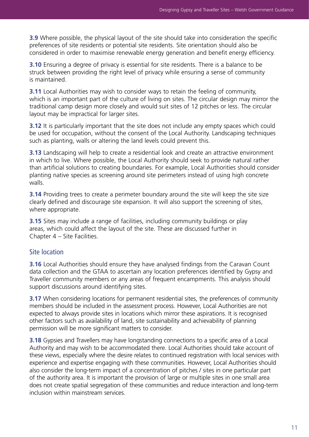**3.9** Where possible, the physical layout of the site should take into consideration the specific preferences of site residents or potential site residents. Site orientation should also be considered in order to maximise renewable energy generation and benefit energy efficiency.

**3.10** Ensuring a degree of privacy is essential for site residents. There is a balance to be struck between providing the right level of privacy while ensuring a sense of community is maintained.

**3.11** Local Authorities may wish to consider ways to retain the feeling of community, which is an important part of the culture of living on sites. The circular design may mirror the traditional camp design more closely and would suit sites of 12 pitches or less. The circular layout may be impractical for larger sites.

**3.12** It is particularly important that the site does not include any empty spaces which could be used for occupation, without the consent of the Local Authority. Landscaping techniques such as planting, walls or altering the land levels could prevent this.

**3.13** Landscaping will help to create a residential look and create an attractive environment in which to live. Where possible, the Local Authority should seek to provide natural rather than artificial solutions to creating boundaries. For example, Local Authorities should consider planting native species as screening around site perimeters instead of using high concrete walls.

**3.14** Providing trees to create a perimeter boundary around the site will keep the site size clearly defined and discourage site expansion. It will also support the screening of sites, where appropriate.

**3.15** Sites may include a range of facilities, including community buildings or play areas, which could affect the layout of the site. These are discussed further in Chapter 4 – Site Facilities.

# Site location

**3.16** Local Authorities should ensure they have analysed findings from the Caravan Count data collection and the GTAA to ascertain any location preferences identified by Gypsy and Traveller community members or any areas of frequent encampments. This analysis should support discussions around identifying sites.

**3.17** When considering locations for permanent residential sites, the preferences of community members should be included in the assessment process. However, Local Authorities are not expected to always provide sites in locations which mirror these aspirations. It is recognised other factors such as availability of land, site sustainability and achievability of planning permission will be more significant matters to consider.

**3.18** Gypsies and Travellers may have longstanding connections to a specific area of a Local Authority and may wish to be accommodated there. Local Authorities should take account of these views, especially where the desire relates to continued registration with local services with experience and expertise engaging with these communities. However, Local Authorities should also consider the long-term impact of a concentration of pitches / sites in one particular part of the authority area. It is important the provision of large or multiple sites in one small area does not create spatial segregation of these communities and reduce interaction and long-term inclusion within mainstream services.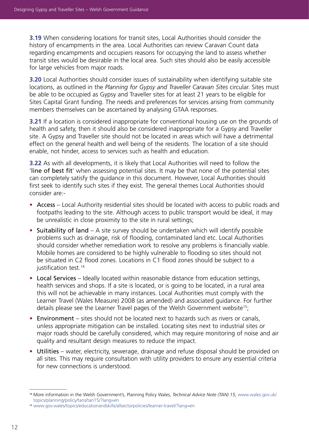**3.19** When considering locations for transit sites, Local Authorities should consider the history of encampments in the area. Local Authorities can review Caravan Count data regarding encampments and occupiers reasons for occupying the land to assess whether transit sites would be desirable in the local area. Such sites should also be easily accessible for large vehicles from major roads.

**3.20** Local Authorities should consider issues of sustainability when identifying suitable site locations, as outlined in the *Planning for Gypsy and Traveller Caravan Sites* circular. Sites must be able to be occupied as Gypsy and Traveller sites for at least 21 years to be eligible for Sites Capital Grant funding. The needs and preferences for services arising from community members themselves can be ascertained by analysing GTAA responses.

**3.21** If a location is considered inappropriate for conventional housing use on the grounds of health and safety, then it should also be considered inappropriate for a Gypsy and Traveller site. A Gypsy and Traveller site should not be located in areas which will have a detrimental effect on the general health and well being of the residents. The location of a site should enable, not hinder, access to services such as health and education.

**3.22** As with all developments, it is likely that Local Authorities will need to follow the 'line of best fit' when assessing potential sites. It may be that none of the potential sites can completely satisfy the guidance in this document. However, Local Authorities should first seek to identify such sites if they exist. The general themes Local Authorities should consider are:-

- Access Local Authority residential sites should be located with access to public roads and footpaths leading to the site. Although access to public transport would be ideal, it may be unrealistic in close proximity to the site in rural settings;
- Suitability of land A site survey should be undertaken which will identify possible problems such as drainage, risk of flooding, contaminated land etc. Local Authorities should consider whether remediation work to resolve any problems is financially viable. Mobile homes are considered to be highly vulnerable to flooding so sites should not be situated in C2 flood zones. Locations in C1 flood zones should be subject to a justification test.<sup>14</sup>
- Local Services Ideally located within reasonable distance from education settings, health services and shops. If a site is located, or is going to be located, in a rural area this will not be achievable in many instances. Local Authorities must comply with the Learner Travel (Wales Measure) 2008 (as amended) and associated guidance. For further details please see the Learner Travel pages of the Welsh Government website<sup>15</sup>;
- Environment sites should not be located next to hazards such as rivers or canals, unless appropriate mitigation can be installed. Locating sites next to industrial sites or major roads should be carefully considered, which may require monitoring of noise and air quality and resultant design measures to reduce the impact.
- Utilities water, electricity, sewerage, drainage and refuse disposal should be provided on all sites. This may require consultation with utility providers to ensure any essential criteria for new connections is understood.

<sup>14</sup> More information in the Welsh Government's, Planning Policy Wales, *Technical Advice Note (TAN) 15*, [www.wales.gov.uk/](http://www.wales.gov.uk/topics/planning/policy/tans/tan15/?lang=en) [topics/planning/policy/tans/tan15/?lang=en](http://www.wales.gov.uk/topics/planning/policy/tans/tan15/?lang=en)

<sup>15</sup> [www.gov.wales/topics/educationandskills/allsectorpolicies/learner-travel/?lang=en](http://www.gov.wales/topics/educationandskills/allsectorpolicies/learner-travel/?lang=en)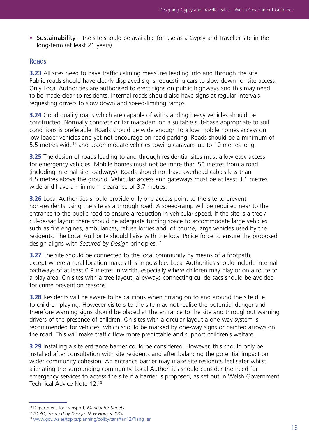• Sustainability – the site should be available for use as a Gypsy and Traveller site in the long-term (at least 21 years).

### Roads

**3.23** All sites need to have traffic calming measures leading into and through the site. Public roads should have clearly displayed signs requesting cars to slow down for site access. Only Local Authorities are authorised to erect signs on public highways and this may need to be made clear to residents. Internal roads should also have signs at regular intervals requesting drivers to slow down and speed-limiting ramps.

**3.24** Good quality roads which are capable of withstanding heavy vehicles should be constructed. Normally concrete or tar macadam on a suitable sub-base appropriate to soil conditions is preferable. Roads should be wide enough to allow mobile homes access on low loader vehicles and yet not encourage on road parking. Roads should be a minimum of 5.5 metres wide<sup>16</sup> and accommodate vehicles towing caravans up to 10 metres long.

**3.25** The design of roads leading to and through residential sites must allow easy access for emergency vehicles. Mobile homes must not be more than 50 metres from a road (including internal site roadways). Roads should not have overhead cables less than 4.5 metres above the ground. Vehicular access and gateways must be at least 3.1 metres wide and have a minimum clearance of 3.7 metres.

**3.26** Local Authorities should provide only one access point to the site to prevent non-residents using the site as a through road. A speed-ramp will be required near to the entrance to the public road to ensure a reduction in vehicular speed. If the site is a tree / cul-de-sac layout there should be adequate turning space to accommodate large vehicles such as fire engines, ambulances, refuse lorries and, of course, large vehicles used by the residents. The Local Authority should liaise with the local Police force to ensure the proposed design aligns with *Secured by Desig*n principles.17

**3.27** The site should be connected to the local community by means of a footpath, except where a rural location makes this impossible. Local Authorities should include internal pathways of at least 0.9 metres in width, especially where children may play or on a route to a play area. On sites with a tree layout, alleyways connecting cul-de-sacs should be avoided for crime prevention reasons.

**3.28** Residents will be aware to be cautious when driving on to and around the site due to children playing. However visitors to the site may not realise the potential danger and therefore warning signs should be placed at the entrance to the site and throughout warning drivers of the presence of children. On sites with a circular layout a one-way system is recommended for vehicles, which should be marked by one-way signs or painted arrows on the road. This will make traffic flow more predictable and support children's welfare.

**3.29** Installing a site entrance barrier could be considered. However, this should only be installed after consultation with site residents and after balancing the potential impact on wider community cohesion. An entrance barrier may make site residents feel safer whilst alienating the surrounding community. Local Authorities should consider the need for emergency services to access the site if a barrier is proposed, as set out in Welsh Government Technical Advice Note 12<sup>18</sup>

<sup>16</sup> Department for Transport, *Manual for Streets*

<sup>17</sup> ACPO, *Secured by Design: New Homes 2014*

<sup>18</sup> [www.gov.wales/topics/planning/policy/tans/tan12/?lang=en](http://www.gov.wales/topics/planning/policy/tans/tan12/?lang=en)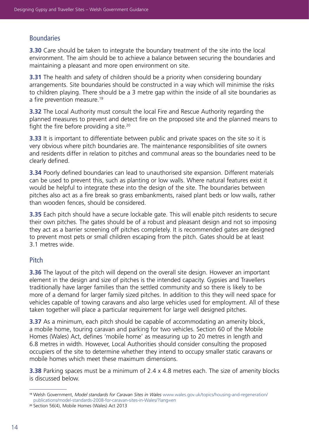# **Boundaries**

**3.30** Care should be taken to integrate the boundary treatment of the site into the local environment. The aim should be to achieve a balance between securing the boundaries and maintaining a pleasant and more open environment on site.

**3.31** The health and safety of children should be a priority when considering boundary arrangements. Site boundaries should be constructed in a way which will minimise the risks to children playing. There should be a 3 metre gap within the inside of all site boundaries as a fire prevention measure.<sup>19</sup>

**3.32** The Local Authority must consult the local Fire and Rescue Authority regarding the planned measures to prevent and detect fire on the proposed site and the planned means to fight the fire before providing a site.<sup>20</sup>

**3.33** It is important to differentiate between public and private spaces on the site so it is very obvious where pitch boundaries are. The maintenance responsibilities of site owners and residents differ in relation to pitches and communal areas so the boundaries need to be clearly defined.

**3.34** Poorly defined boundaries can lead to unauthorised site expansion. Different materials can be used to prevent this, such as planting or low walls. Where natural features exist it would be helpful to integrate these into the design of the site. The boundaries between pitches also act as a fire break so grass embankments, raised plant beds or low walls, rather than wooden fences, should be considered.

**3.35** Each pitch should have a secure lockable gate. This will enable pitch residents to secure their own pitches. The gates should be of a robust and pleasant design and not so imposing they act as a barrier screening off pitches completely. It is recommended gates are designed to prevent most pets or small children escaping from the pitch. Gates should be at least 3.1 metres wide.

# **Pitch**

**3.36** The layout of the pitch will depend on the overall site design. However an important element in the design and size of pitches is the intended capacity. Gypsies and Travellers traditionally have larger families than the settled community and so there is likely to be more of a demand for larger family sized pitches. In addition to this they will need space for vehicles capable of towing caravans and also large vehicles used for employment. All of these taken together will place a particular requirement for large well designed pitches.

**3.37** As a minimum, each pitch should be capable of accommodating an amenity block, a mobile home, touring caravan and parking for two vehicles. Section 60 of the Mobile Homes (Wales) Act, defines 'mobile home' as measuring up to 20 metres in length and 6.8 metres in width. However, Local Authorities should consider consulting the proposed occupiers of the site to determine whether they intend to occupy smaller static caravans or mobile homes which meet these maximum dimensions.

**3.38** Parking spaces must be a minimum of 2.4 x 4.8 metres each. The size of amenity blocks is discussed below.

<sup>19</sup> Welsh Government, *Model standards for Caravan Sites in Wales* [www.wales.gov.uk/topics/housing-and-regeneration/](http://www.wales.gov.uk/topics/housing-and-regeneration/publications/model-standards-2008-for-caravan-sites-in-Wales/?lang=en) [publications/model-standards-2008-for-caravan-sites-in-Wales/?lang=en](http://www.wales.gov.uk/topics/housing-and-regeneration/publications/model-standards-2008-for-caravan-sites-in-Wales/?lang=en)

<sup>20</sup> Section 56(4), Mobile Homes (Wales) Act 2013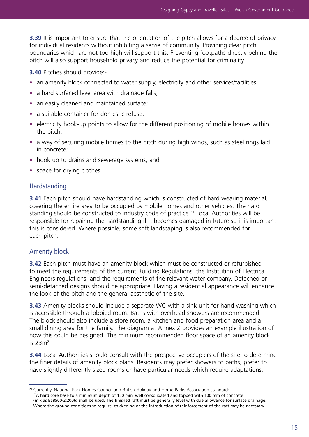**3.39** It is important to ensure that the orientation of the pitch allows for a degree of privacy for individual residents without inhibiting a sense of community. Providing clear pitch boundaries which are not too high will support this. Preventing footpaths directly behind the pitch will also support household privacy and reduce the potential for criminality.

**3.40** Pitches should provide:-

- an amenity block connected to water supply, electricity and other services/facilities;
- a hard surfaced level area with drainage falls;
- an easily cleaned and maintained surface;
- a suitable container for domestic refuse;
- electricity hook-up points to allow for the different positioning of mobile homes within the pitch;
- a way of securing mobile homes to the pitch during high winds, such as steel rings laid in concrete;
- hook up to drains and sewerage systems; and
- space for drying clothes.

# **Hardstanding**

**3.41** Each pitch should have hardstanding which is constructed of hard wearing material, covering the entire area to be occupied by mobile homes and other vehicles. The hard standing should be constructed to industry code of practice.<sup>21</sup> Local Authorities will be responsible for repairing the hardstanding if it becomes damaged in future so it is important this is considered. Where possible, some soft landscaping is also recommended for each pitch.

# Amenity block

**3.42** Each pitch must have an amenity block which must be constructed or refurbished to meet the requirements of the current Building Regulations, the Institution of Electrical Engineers regulations, and the requirements of the relevant water company. Detached or semi-detached designs should be appropriate. Having a residential appearance will enhance the look of the pitch and the general aesthetic of the site.

**3.43** Amenity blocks should include a separate WC with a sink unit for hand washing which is accessible through a lobbied room. Baths with overhead showers are recommended. The block should also include a store room, a kitchen and food preparation area and a small dining area for the family. The diagram at Annex 2 provides an example illustration of how this could be designed. The minimum recommended floor space of an amenity block is 23 $m<sup>2</sup>$ .

**3.44** Local Authorities should consult with the prospective occupiers of the site to determine the finer details of amenity block plans. Residents may prefer showers to baths, prefer to have slightly differently sized rooms or have particular needs which require adaptations.

<sup>21</sup> Currently, National Park Homes Council and British Holiday and Home Parks Association standard: "A hard core base to a minimum depth of 150 mm, well consolidated and topped with 100 mm of concrete (mix as BS8500-2:2006) shall be used. The finished raft must be generally level with due allowance for surface drainage. Where the ground conditions so require, thickening or the introduction of reinforcement of the raft may be necessary."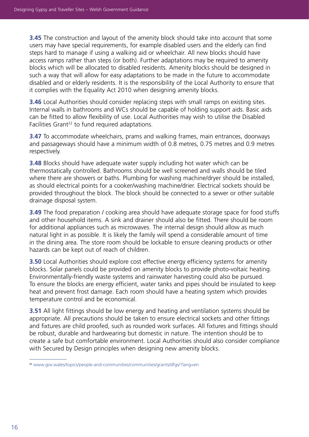**3.45** The construction and layout of the amenity block should take into account that some users may have special requirements, for example disabled users and the elderly can find steps hard to manage if using a walking aid or wheelchair. All new blocks should have access ramps rather than steps (or both). Further adaptations may be required to amenity blocks which will be allocated to disabled residents. Amenity blocks should be designed in such a way that will allow for easy adaptations to be made in the future to accommodate disabled and or elderly residents. It is the responsibility of the Local Authority to ensure that it complies with the Equality Act 2010 when designing amenity blocks.

**3.46** Local Authorities should consider replacing steps with small ramps on existing sites. Internal walls in bathrooms and WCs should be capable of holding support aids. Basic aids can be fitted to allow flexibility of use. Local Authorities may wish to utilise the Disabled Facilities Grant<sup>22</sup> to fund required adaptations.

**3.47** To accommodate wheelchairs, prams and walking frames, main entrances, doorways and passageways should have a minimum width of 0.8 metres, 0.75 metres and 0.9 metres respectively.

**3.48** Blocks should have adequate water supply including hot water which can be thermostatically controlled. Bathrooms should be well screened and walls should be tiled where there are showers or baths. Plumbing for washing machine/dryer should be installed, as should electrical points for a cooker/washing machine/drier. Electrical sockets should be provided throughout the block. The block should be connected to a sewer or other suitable drainage disposal system.

**3.49** The food preparation / cooking area should have adequate storage space for food stuffs and other household items. A sink and drainer should also be fitted. There should be room for additional appliances such as microwaves. The internal design should allow as much natural light in as possible. It is likely the family will spend a considerable amount of time in the dining area. The store room should be lockable to ensure cleaning products or other hazards can be kept out of reach of children.

**3.50** Local Authorities should explore cost effective energy efficiency systems for amenity blocks. Solar panels could be provided on amenity blocks to provide photo-voltaic heating. Environmentally-friendly waste systems and rainwater harvesting could also be pursued. To ensure the blocks are energy efficient, water tanks and pipes should be insulated to keep heat and prevent frost damage. Each room should have a heating system which provides temperature control and be economical.

**3.51** All light fittings should be low energy and heating and ventilation systems should be appropriate. All precautions should be taken to ensure electrical sockets and other fittings and fixtures are child proofed, such as rounded work surfaces. All fixtures and fittings should be robust, durable and hardwearing but domestic in nature. The intention should be to create a safe but comfortable environment. Local Authorities should also consider compliance with Secured by Design principles when designing new amenity blocks.

<sup>22</sup> www[.gov.wales/topics/people-and-communities/communities/grants/dfgs/?lang=en](http://gov.wales/topics/people-and-communities/communities/grants/dfgs/?lang=en)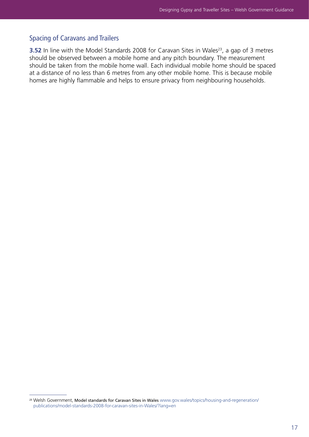# Spacing of Caravans and Trailers

**3.52** In line with the Model Standards 2008 for Caravan Sites in Wales<sup>23</sup>, a gap of 3 metres should be observed between a mobile home and any pitch boundary. The measurement should be taken from the mobile home wall. Each individual mobile home should be spaced at a distance of no less than 6 metres from any other mobile home. This is because mobile homes are highly flammable and helps to ensure privacy from neighbouring households.

<sup>&</sup>lt;sup>23</sup> Welsh Government, Model standards for Caravan Sites in Wales [www.gov.wales/topics/housing-and-regeneration/](http://www.gov.wales/topics/housing-and-regeneration/publications/model-standards-2008-for-caravan-sites-in-Wales/?lang=en) [publications/model-standards-2008-for-caravan-sites-in-Wales/?lang=en](http://www.gov.wales/topics/housing-and-regeneration/publications/model-standards-2008-for-caravan-sites-in-Wales/?lang=en)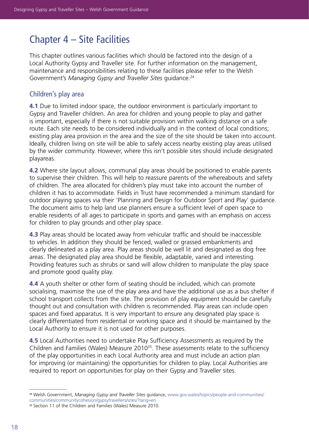# Chapter 4 – Site Facilities

This chapter outlines various facilities which should be factored into the design of a Local Authority Gypsy and Traveller site. For further information on the management, maintenance and responsibilities relating to these facilities please refer to the Welsh Government's *Managing Gypsy and Traveller Sites* guidance.24

### Children's play area

**4.1** Due to limited indoor space, the outdoor environment is particularly important to Gypsy and Traveller children. An area for children and young people to play and gather is important, especially if there is not suitable provision within walking distance on a safe route. Each site needs to be considered individually and in the context of local conditions; existing play area provision in the area and the size of the site should be taken into account. Ideally, children living on site will be able to safely access nearby existing play areas utilised by the wider community. However, where this isn't possible sites should include designated playareas.

**4.2** Where site layout allows, communal play areas should be positioned to enable parents to supervise their children. This will help to reassure parents of the whereabouts and safety of children. The area allocated for children's play must take into account the number of children it has to accommodate. Fields in Trust have recommended a minimum standard for outdoor playing spaces via their 'Planning and Design for Outdoor Sport and Play' guidance. The document aims to help land use planners ensure a sufficient level of open space to enable residents of all ages to participate in sports and games with an emphasis on access for children to play grounds and other play space.

**4.3** Play areas should be located away from vehicular traffic and should be inaccessible to vehicles. In addition they should be fenced, walled or grassed embankments and clearly delineated as a play area. Play areas should be well lit and designated as dog free areas. The designated play area should be flexible, adaptable, varied and interesting. Providing features such as shrubs or sand will allow children to manipulate the play space and promote good quality play.

**4.4** A youth shelter or other form of seating should be included, which can promote socialising, maximise the use of the play area and have the additional use as a bus shelter if school transport collects from the site. The provision of play equipment should be carefully thought out and consultation with children is recommended. Play areas can include open spaces and fixed apparatus. It is very important to ensure any designated play space is clearly differentiated from residential or working space and it should be maintained by the Local Authority to ensure it is not used for other purposes.

**4.5** Local Authorities need to undertake Play Sufficiency Assessments as required by the Children and Families (Wales) Measure 201025. These assessments relate to the sufficiency of the play opportunities in each Local Authority area and must include an action plan for improving (or maintaining) the opportunities for children to play. Local Authorities are required to report on opportunities for play on their Gypsy and Traveller sites.

<sup>24</sup> Welsh Government, *Managing Gypsy and Traveller Sites* guidance, [www.gov.wales/topics/people-and-communities/](http://www.gov.wales/topics/people-and-communities/communities/communitycohesion/gypsytravellers/sites/?lang=en) [communities/communitycohesion/gypsytravellers/sites/?lang=en](http://www.gov.wales/topics/people-and-communities/communities/communitycohesion/gypsytravellers/sites/?lang=en)

<sup>25</sup> Section 11 of the Children and Families (Wales) Measure 2010.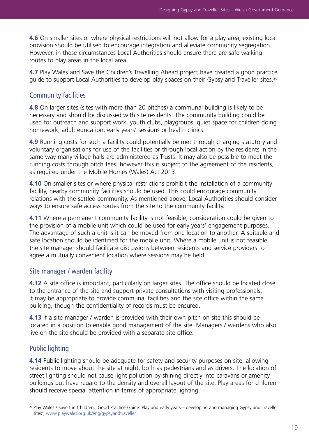**4.6** On smaller sites or where physical restrictions will not allow for a play area, existing local provision should be utilised to encourage integration and alleviate community segregation. However, in these circumstances Local Authorities should ensure there are safe walking routes to play areas in the local area.

**4.7** Play Wales and Save the Children's Travelling Ahead project have created a good practice guide to support Local Authorities to develop play spaces on their Gypsy and Traveller sites.<sup>26</sup>

#### Community facilities

**4.8** On larger sites (sites with more than 20 pitches) a communal building is likely to be necessary and should be discussed with site residents. The community building could be used for outreach and support work, youth clubs, playgroups, quiet space for children doing homework, adult education, early years' sessions or health clinics.

**4.9** Running costs for such a facility could potentially be met through charging statutory and voluntary organisations for use of the facilities or through local action by the residents in the same way many village halls are administered as Trusts. It may also be possible to meet the running costs through pitch fees, however this is subject to the agreement of the residents, as required under the Mobile Homes (Wales) Act 2013.

**4.10** On smaller sites or where physical restrictions prohibit the installation of a community facility, nearby community facilities should be used. This could encourage community relations with the settled community. As mentioned above, Local Authorities should consider ways to ensure safe access routes from the site to the community facility.

**4.11** Where a permanent community facility is not feasible, consideration could be given to the provision of a mobile unit which could be used for early years' engagement purposes. The advantage of such a unit is it can be moved from one location to another. A suitable and safe location should be identified for the mobile unit. Where a mobile unit is not feasible, the site manager should facilitate discussions between residents and service providers to agree a mutually convenient location where sessions may be held.

#### Site manager / warden facility

**4.12** A site office is important, particularly on larger sites. The office should be located close to the entrance of the site and support private consultations with visiting professionals. It may be appropriate to provide communal facilities and the site office within the same building, though the confidentiality of records must be ensured.

**4.13** If a site manager / warden is provided with their own pitch on site this should be located in a position to enable good management of the site. Managers / wardens who also live on the site should be provided with a separate site office.

#### Public lighting

**4.14** Public lighting should be adequate for safety and security purposes on site, allowing residents to move about the site at night, both as pedestrians and as drivers. The location of street lighting should not cause light pollution by shining directly into caravans or amenity buildings but have regard to the density and overall layout of the site. Play areas for children should receive special attention in terms of appropriate lighting.

<sup>26</sup> Play Wales / Save the Children, 'Good Practice Guide: Play and early years – developing and managing Gypsy and Traveller sites', [www.playwales.org.uk/eng/gypsyandtraveller](http://www.playwales.org.uk/eng/gypsyandtraveller)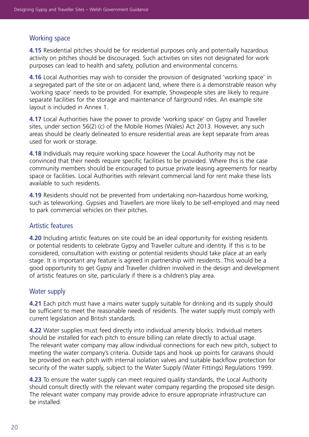# Working space

**4.15** Residential pitches should be for residential purposes only and potentially hazardous activity on pitches should be discouraged. Such activities on sites not designated for work purposes can lead to health and safety, pollution and environmental concerns.

**4.16** Local Authorities may wish to consider the provision of designated 'working space' in a segregated part of the site or on adjacent land, where there is a demonstrable reason why 'working space' needs to be provided. For example, Showpeople sites are likely to require separate facilities for the storage and maintenance of fairground rides. An example site layout is included in Annex 1.

**4.17** Local Authorities have the power to provide 'working space' on Gypsy and Traveller sites, under section 56(2) (c) of the Mobile Homes (Wales) Act 2013. However, any such areas should be clearly delineated to ensure residential areas are kept separate from areas used for work or storage.

**4.18** Individuals may require working space however the Local Authority may not be convinced that their needs require specific facilities to be provided. Where this is the case community members should be encouraged to pursue private leasing agreements for nearby space or facilities. Local Authorities with relevant commercial land for rent make these lists available to such residents.

**4.19** Residents should not be prevented from undertaking non-hazardous home working, such as teleworking. Gypsies and Travellers are more likely to be self-employed and may need to park commercial vehicles on their pitches.

# Artistic features

**4.20** Including artistic features on site could be an ideal opportunity for existing residents or potential residents to celebrate Gypsy and Traveller culture and identity. If this is to be considered, consultation with existing or potential residents should take place at an early stage. It is important any feature is agreed in partnership with residents. This would be a good opportunity to get Gypsy and Traveller children involved in the design and development of artistic features on site, particularly if there is a children's play area.

# Water supply

**4.21** Each pitch must have a mains water supply suitable for drinking and its supply should be sufficient to meet the reasonable needs of residents. The water supply must comply with current legislation and British standards.

**4.22** Water supplies must feed directly into individual amenity blocks. Individual meters should be installed for each pitch to ensure billing can relate directly to actual usage. The relevant water company may allow individual connections for each new pitch, subject to meeting the water company's criteria. Outside taps and hook up points for caravans should be provided on each pitch with internal isolation valves and suitable backflow protection for security of the water supply, subject to the Water Supply (Water Fittings) Regulations 1999.

**4.23** To ensure the water supply can meet required quality standards, the Local Authority should consult directly with the relevant water company regarding the proposed site design. The relevant water company may provide advice to ensure appropriate infrastructure can be installed.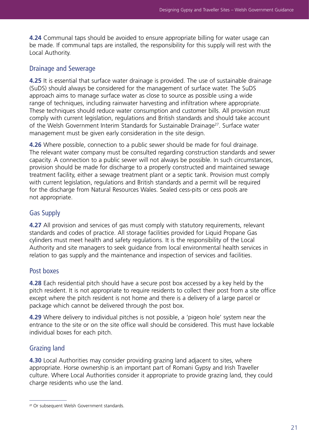**4.24** Communal taps should be avoided to ensure appropriate billing for water usage can be made. If communal taps are installed, the responsibility for this supply will rest with the Local Authority.

# Drainage and Sewerage

**4.25** It is essential that surface water drainage is provided. The use of sustainable drainage (SuDS) should always be considered for the management of surface water. The SuDS approach aims to manage surface water as close to source as possible using a wide range of techniques, including rainwater harvesting and infiltration where appropriate. These techniques should reduce water consumption and customer bills. All provision must comply with current legislation, regulations and British standards and should take account of the Welsh Government Interim Standards for Sustainable Drainage<sup>27</sup>. Surface water management must be given early consideration in the site design.

**4.26** Where possible, connection to a public sewer should be made for foul drainage. The relevant water company must be consulted regarding construction standards and sewer capacity. A connection to a public sewer will not always be possible. In such circumstances, provision should be made for discharge to a properly constructed and maintained sewage treatment facility, either a sewage treatment plant or a septic tank. Provision must comply with current legislation, regulations and British standards and a permit will be required for the discharge from Natural Resources Wales. Sealed cess-pits or cess pools are not appropriate.

# Gas Supply

**4.27** All provision and services of gas must comply with statutory requirements, relevant standards and codes of practice. All storage facilities provided for Liquid Propane Gas cylinders must meet health and safety regulations. It is the responsibility of the Local Authority and site managers to seek guidance from local environmental health services in relation to gas supply and the maintenance and inspection of services and facilities.

# Post boxes

**4.28** Each residential pitch should have a secure post box accessed by a key held by the pitch resident. It is not appropriate to require residents to collect their post from a site office except where the pitch resident is not home and there is a delivery of a large parcel or package which cannot be delivered through the post box.

**4.29** Where delivery to individual pitches is not possible, a 'pigeon hole' system near the entrance to the site or on the site office wall should be considered. This must have lockable individual boxes for each pitch.

# Grazing land

**4.30** Local Authorities may consider providing grazing land adjacent to sites, where appropriate. Horse ownership is an important part of Romani Gypsy and Irish Traveller culture. Where Local Authorities consider it appropriate to provide grazing land, they could charge residents who use the land.

<sup>&</sup>lt;sup>27</sup> Or subsequent Welsh Government standards.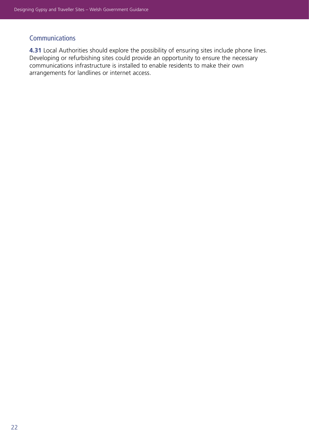# **Communications**

**4.31** Local Authorities should explore the possibility of ensuring sites include phone lines. Developing or refurbishing sites could provide an opportunity to ensure the necessary communications infrastructure is installed to enable residents to make their own arrangements for landlines or internet access.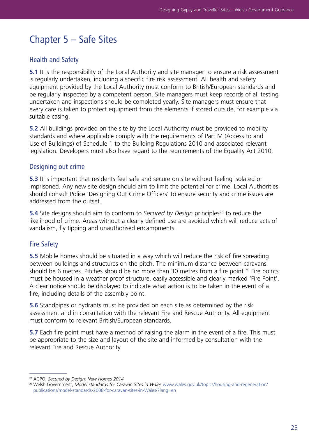# Chapter 5 – Safe Sites

# Health and Safety

**5.1** It is the responsibility of the Local Authority and site manager to ensure a risk assessment is regularly undertaken, including a specific fire risk assessment. All health and safety equipment provided by the Local Authority must conform to British/European standards and be regularly inspected by a competent person. Site managers must keep records of all testing undertaken and inspections should be completed yearly. Site managers must ensure that every care is taken to protect equipment from the elements if stored outside, for example via suitable casing.

**5.2** All buildings provided on the site by the Local Authority must be provided to mobility standards and where applicable comply with the requirements of Part M (Access to and Use of Buildings) of Schedule 1 to the Building Regulations 2010 and associated relevant legislation. Developers must also have regard to the requirements of the Equality Act 2010.

### Designing out crime

**5.3** It is important that residents feel safe and secure on site without feeling isolated or imprisoned. Any new site design should aim to limit the potential for crime. Local Authorities should consult Police 'Designing Out Crime Officers' to ensure security and crime issues are addressed from the outset.

**5.4** Site designs should aim to conform to *Secured by Design* principles<sup>28</sup> to reduce the likelihood of crime. Areas without a clearly defined use are avoided which will reduce acts of vandalism, fly tipping and unauthorised encampments.

# Fire Safety

**5.5** Mobile homes should be situated in a way which will reduce the risk of fire spreading between buildings and structures on the pitch. The minimum distance between caravans should be 6 metres. Pitches should be no more than 30 metres from a fire point.<sup>29</sup> Fire points must be housed in a weather proof structure, easily accessible and clearly marked 'Fire Point'. A clear notice should be displayed to indicate what action is to be taken in the event of a fire, including details of the assembly point.

**5.6** Standpipes or hydrants must be provided on each site as determined by the risk assessment and in consultation with the relevant Fire and Rescue Authority. All equipment must conform to relevant British/European standards.

**5.7** Each fire point must have a method of raising the alarm in the event of a fire. This must be appropriate to the size and layout of the site and informed by consultation with the relevant Fire and Rescue Authority.

<sup>28</sup> ACPO, *Secured by Design: New Homes 2014*

<sup>29</sup> Welsh Government, *Model standards for Caravan Sites in Wales* [www.wales.gov.uk/topics/housing-and-regeneration/](http://www.wales.gov.uk/topics/housing-and-regeneration/publications/model-standards-2008-for-caravan-sites-in-Wales/?lang=en) [publications/model-standards-2008-for-caravan-sites-in-Wales/?lang=en](http://www.wales.gov.uk/topics/housing-and-regeneration/publications/model-standards-2008-for-caravan-sites-in-Wales/?lang=en)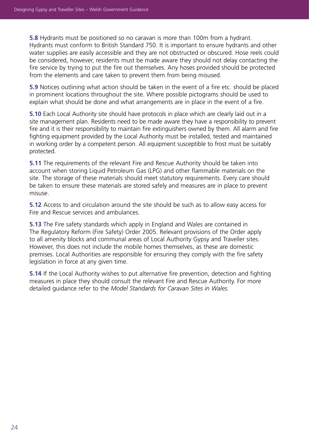**5.8** Hydrants must be positioned so no caravan is more than 100m from a hydrant. Hydrants must conform to British Standard 750. It is important to ensure hydrants and other water supplies are easily accessible and they are not obstructed or obscured. Hose reels could be considered, however, residents must be made aware they should not delay contacting the fire service by trying to put the fire out themselves. Any hoses provided should be protected from the elements and care taken to prevent them from being misused.

**5.9** Notices outlining what action should be taken in the event of a fire etc. should be placed in prominent locations throughout the site. Where possible pictograms should be used to explain what should be done and what arrangements are in place in the event of a fire.

**5.10** Each Local Authority site should have protocols in place which are clearly laid out in a site management plan. Residents need to be made aware they have a responsibility to prevent fire and it is their responsibility to maintain fire extinguishers owned by them. All alarm and fire fighting equipment provided by the Local Authority must be installed, tested and maintained in working order by a competent person. All equipment susceptible to frost must be suitably protected.

**5.11** The requirements of the relevant Fire and Rescue Authority should be taken into account when storing Liquid Petroleum Gas (LPG) and other flammable materials on the site. The storage of these materials should meet statutory requirements. Every care should be taken to ensure these materials are stored safely and measures are in place to prevent misuse.

**5.12** Access to and circulation around the site should be such as to allow easy access for Fire and Rescue services and ambulances.

**5.13** The Fire safety standards which apply in England and Wales are contained in The Regulatory Reform (Fire Safety) Order 2005. Relevant provisions of the Order apply to all amenity blocks and communal areas of Local Authority Gypsy and Traveller sites. However, this does not include the mobile homes themselves, as these are domestic premises. Local Authorities are responsible for ensuring they comply with the fire safety legislation in force at any given time.

**5.14** If the Local Authority wishes to put alternative fire prevention, detection and fighting measures in place they should consult the relevant Fire and Rescue Authority. For more detailed guidance refer to the *Model Standards for Caravan Sites in Wales.*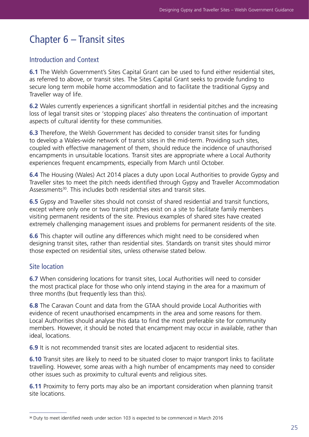# Chapter 6 – Transit sites

### Introduction and Context

**6.1** The Welsh Government's Sites Capital Grant can be used to fund either residential sites, as referred to above, or transit sites. The Sites Capital Grant seeks to provide funding to secure long term mobile home accommodation and to facilitate the traditional Gypsy and Traveller way of life.

**6.2** Wales currently experiences a significant shortfall in residential pitches and the increasing loss of legal transit sites or 'stopping places' also threatens the continuation of important aspects of cultural identity for these communities.

**6.3** Therefore, the Welsh Government has decided to consider transit sites for funding to develop a Wales-wide network of transit sites in the mid-term. Providing such sites, coupled with effective management of them, should reduce the incidence of unauthorised encampments in unsuitable locations. Transit sites are appropriate where a Local Authority experiences frequent encampments, especially from March until October.

**6.4** The Housing (Wales) Act 2014 places a duty upon Local Authorities to provide Gypsy and Traveller sites to meet the pitch needs identified through Gypsy and Traveller Accommodation Assessments<sup>30</sup>. This includes both residential sites and transit sites.

**6.5** Gypsy and Traveller sites should not consist of shared residential and transit functions, except where only one or two transit pitches exist on a site to facilitate family members visiting permanent residents of the site. Previous examples of shared sites have created extremely challenging management issues and problems for permanent residents of the site.

**6.6** This chapter will outline any differences which might need to be considered when designing transit sites, rather than residential sites. Standards on transit sites should mirror those expected on residential sites, unless otherwise stated below.

# Site location

**6.7** When considering locations for transit sites, Local Authorities will need to consider the most practical place for those who only intend staying in the area for a maximum of three months (but frequently less than this).

**6.8** The Caravan Count and data from the GTAA should provide Local Authorities with evidence of recent unauthorised encampments in the area and some reasons for them. Local Authorities should analyse this data to find the most preferable site for community members. However, it should be noted that encampment may occur in available, rather than ideal, locations.

**6.9** It is not recommended transit sites are located adjacent to residential sites.

**6.10** Transit sites are likely to need to be situated closer to major transport links to facilitate travelling. However, some areas with a high number of encampments may need to consider other issues such as proximity to cultural events and religious sites.

**6.11** Proximity to ferry ports may also be an important consideration when planning transit site locations.

<sup>30</sup> Duty to meet identified needs under section 103 is expected to be commenced in March 2016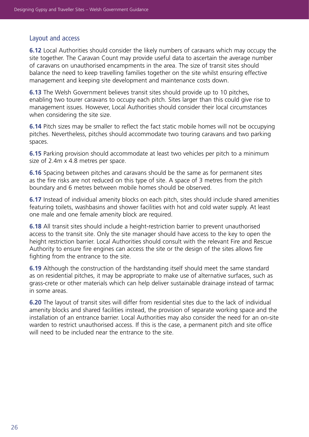# Layout and access

**6.12** Local Authorities should consider the likely numbers of caravans which may occupy the site together. The Caravan Count may provide useful data to ascertain the average number of caravans on unauthorised encampments in the area. The size of transit sites should balance the need to keep travelling families together on the site whilst ensuring effective management and keeping site development and maintenance costs down.

**6.13** The Welsh Government believes transit sites should provide up to 10 pitches, enabling two tourer caravans to occupy each pitch. Sites larger than this could give rise to management issues. However, Local Authorities should consider their local circumstances when considering the site size.

**6.14** Pitch sizes may be smaller to reflect the fact static mobile homes will not be occupying pitches. Nevertheless, pitches should accommodate two touring caravans and two parking spaces.

**6.15** Parking provision should accommodate at least two vehicles per pitch to a minimum size of 2.4m x 4.8 metres per space.

**6.16** Spacing between pitches and caravans should be the same as for permanent sites as the fire risks are not reduced on this type of site. A space of 3 metres from the pitch boundary and 6 metres between mobile homes should be observed.

**6.17** Instead of individual amenity blocks on each pitch, sites should include shared amenities featuring toilets, washbasins and shower facilities with hot and cold water supply. At least one male and one female amenity block are required.

**6.18** All transit sites should include a height-restriction barrier to prevent unauthorised access to the transit site. Only the site manager should have access to the key to open the height restriction barrier. Local Authorities should consult with the relevant Fire and Rescue Authority to ensure fire engines can access the site or the design of the sites allows fire fighting from the entrance to the site.

**6.19** Although the construction of the hardstanding itself should meet the same standard as on residential pitches, it may be appropriate to make use of alternative surfaces, such as grass-crete or other materials which can help deliver sustainable drainage instead of tarmac in some areas.

**6.20** The layout of transit sites will differ from residential sites due to the lack of individual amenity blocks and shared facilities instead, the provision of separate working space and the installation of an entrance barrier. Local Authorities may also consider the need for an on-site warden to restrict unauthorised access. If this is the case, a permanent pitch and site office will need to be included near the entrance to the site.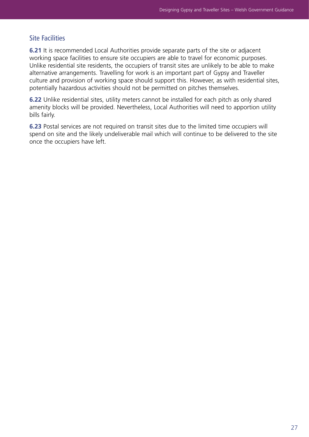#### Site Facilities

**6.21** It is recommended Local Authorities provide separate parts of the site or adjacent working space facilities to ensure site occupiers are able to travel for economic purposes. Unlike residential site residents, the occupiers of transit sites are unlikely to be able to make alternative arrangements. Travelling for work is an important part of Gypsy and Traveller culture and provision of working space should support this. However, as with residential sites, potentially hazardous activities should not be permitted on pitches themselves.

**6.22** Unlike residential sites, utility meters cannot be installed for each pitch as only shared amenity blocks will be provided. Nevertheless, Local Authorities will need to apportion utility bills fairly.

**6.23** Postal services are not required on transit sites due to the limited time occupiers will spend on site and the likely undeliverable mail which will continue to be delivered to the site once the occupiers have left.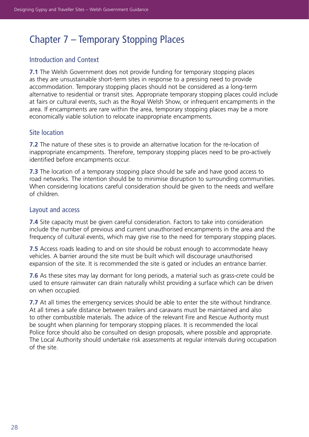# Chapter 7 – Temporary Stopping Places

# Introduction and Context

**7.1** The Welsh Government does not provide funding for temporary stopping places as they are unsustainable short-term sites in response to a pressing need to provide accommodation. Temporary stopping places should not be considered as a long-term alternative to residential or transit sites. Appropriate temporary stopping places could include at fairs or cultural events, such as the Royal Welsh Show, or infrequent encampments in the area. If encampments are rare within the area, temporary stopping places may be a more economically viable solution to relocate inappropriate encampments.

### Site location

**7.2** The nature of these sites is to provide an alternative location for the re-location of inappropriate encampments. Therefore, temporary stopping places need to be pro-actively identified before encampments occur.

**7.3** The location of a temporary stopping place should be safe and have good access to road networks. The intention should be to minimise disruption to surrounding communities. When considering locations careful consideration should be given to the needs and welfare of children.

#### Layout and access

**7.4** Site capacity must be given careful consideration. Factors to take into consideration include the number of previous and current unauthorised encampments in the area and the frequency of cultural events, which may give rise to the need for temporary stopping places.

**7.5** Access roads leading to and on site should be robust enough to accommodate heavy vehicles. A barrier around the site must be built which will discourage unauthorised expansion of the site. It is recommended the site is gated or includes an entrance barrier.

**7.6** As these sites may lay dormant for long periods, a material such as grass-crete could be used to ensure rainwater can drain naturally whilst providing a surface which can be driven on when occupied.

**7.7** At all times the emergency services should be able to enter the site without hindrance. At all times a safe distance between trailers and caravans must be maintained and also to other combustible materials. The advice of the relevant Fire and Rescue Authority must be sought when planning for temporary stopping places. It is recommended the local Police force should also be consulted on design proposals, where possible and appropriate. The Local Authority should undertake risk assessments at regular intervals during occupation of the site.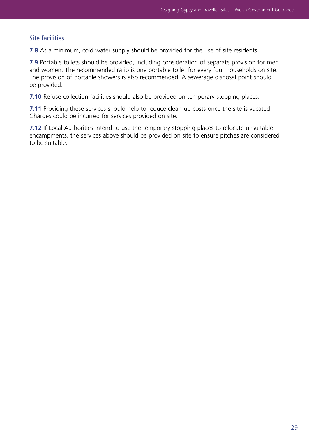# Site facilities

**7.8** As a minimum, cold water supply should be provided for the use of site residents.

**7.9** Portable toilets should be provided, including consideration of separate provision for men and women. The recommended ratio is one portable toilet for every four households on site. The provision of portable showers is also recommended. A sewerage disposal point should be provided.

**7.10** Refuse collection facilities should also be provided on temporary stopping places.

**7.11** Providing these services should help to reduce clean-up costs once the site is vacated. Charges could be incurred for services provided on site.

**7.12** If Local Authorities intend to use the temporary stopping places to relocate unsuitable encampments, the services above should be provided on site to ensure pitches are considered to be suitable.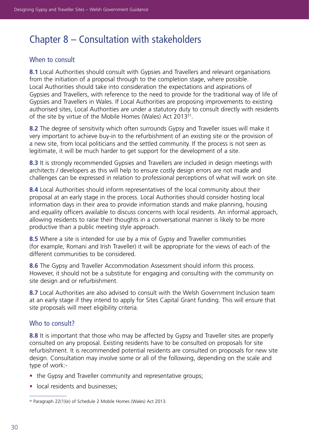# Chapter 8 – Consultation with stakeholders

# When to consult

**8.1** Local Authorities should consult with Gypsies and Travellers and relevant organisations from the initiation of a proposal through to the completion stage, where possible. Local Authorities should take into consideration the expectations and aspirations of Gypsies and Travellers, with reference to the need to provide for the traditional way of life of Gypsies and Travellers in Wales. If Local Authorities are proposing improvements to existing authorised sites, Local Authorities are under a statutory duty to consult directly with residents of the site by virtue of the Mobile Homes (Wales) Act 2013<sup>31</sup>.

**8.2** The degree of sensitivity which often surrounds Gypsy and Traveller issues will make it very important to achieve buy-in to the refurbishment of an existing site or the provision of a new site, from local politicians and the settled community. If the process is not seen as legitimate, it will be much harder to get support for the development of a site.

**8.3** It is strongly recommended Gypsies and Travellers are included in design meetings with architects / developers as this will help to ensure costly design errors are not made and challenges can be expressed in relation to professional perceptions of what will work on site.

**8.4** Local Authorities should inform representatives of the local community about their proposal at an early stage in the process. Local Authorities should consider hosting local information days in their area to provide information stands and make planning, housing and equality officers available to discuss concerns with local residents. An informal approach, allowing residents to raise their thoughts in a conversational manner is likely to be more productive than a public meeting style approach.

**8.5** Where a site is intended for use by a mix of Gypsy and Traveller communities (for example, Romani and Irish Traveller) it will be appropriate for the views of each of the different communities to be considered.

**8.6** The Gypsy and Traveller Accommodation Assessment should inform this process. However, it should not be a substitute for engaging and consulting with the community on site design and or refurbishment.

**8.7** Local Authorities are also advised to consult with the Welsh Government Inclusion team at an early stage if they intend to apply for Sites Capital Grant funding. This will ensure that site proposals will meet eligibility criteria.

# Who to consult?

**8.8** It is important that those who may be affected by Gypsy and Traveller sites are properly consulted on any proposal. Existing residents have to be consulted on proposals for site refurbishment. It is recommended potential residents are consulted on proposals for new site design. Consultation may involve some or all of the following, depending on the scale and type of work:-

- the Gypsy and Traveller community and representative groups;
- local residents and businesses:

<sup>31</sup> Paragraph 22(1)(e) of Schedule 2 Mobile Homes (Wales) Act 2013.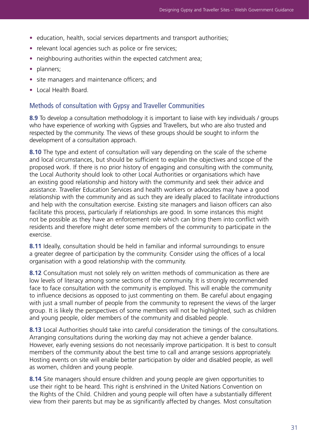- education, health, social services departments and transport authorities;
- relevant local agencies such as police or fire services;
- neighbouring authorities within the expected catchment area;
- planners;
- site managers and maintenance officers; and
- Local Health Board.

#### Methods of consultation with Gypsy and Traveller Communities

**8.9** To develop a consultation methodology it is important to liaise with key individuals / groups who have experience of working with Gypsies and Travellers, but who are also trusted and respected by the community. The views of these groups should be sought to inform the development of a consultation approach.

**8.10** The type and extent of consultation will vary depending on the scale of the scheme and local circumstances, but should be sufficient to explain the objectives and scope of the proposed work. If there is no prior history of engaging and consulting with the community, the Local Authority should look to other Local Authorities or organisations which have an existing good relationship and history with the community and seek their advice and assistance. Traveller Education Services and health workers or advocates may have a good relationship with the community and as such they are ideally placed to facilitate introductions and help with the consultation exercise. Existing site managers and liaison officers can also facilitate this process, particularly if relationships are good. In some instances this might not be possible as they have an enforcement role which can bring them into conflict with residents and therefore might deter some members of the community to participate in the exercise.

**8.11** Ideally, consultation should be held in familiar and informal surroundings to ensure a greater degree of participation by the community. Consider using the offices of a local organisation with a good relationship with the community.

**8.12** Consultation must not solely rely on written methods of communication as there are low levels of literacy among some sections of the community. It is strongly recommended face to face consultation with the community is employed. This will enable the community to influence decisions as opposed to just commenting on them. Be careful about engaging with just a small number of people from the community to represent the views of the larger group. It is likely the perspectives of some members will not be highlighted, such as children and young people, older members of the community and disabled people.

**8.13** Local Authorities should take into careful consideration the timings of the consultations. Arranging consultations during the working day may not achieve a gender balance. However, early evening sessions do not necessarily improve participation. It is best to consult members of the community about the best time to call and arrange sessions appropriately. Hosting events on site will enable better participation by older and disabled people, as well as women, children and young people.

**8.14** Site managers should ensure children and young people are given opportunities to use their right to be heard. This right is enshrined in the United Nations Convention on the Rights of the Child. Children and young people will often have a substantially different view from their parents but may be as significantly affected by changes. Most consultation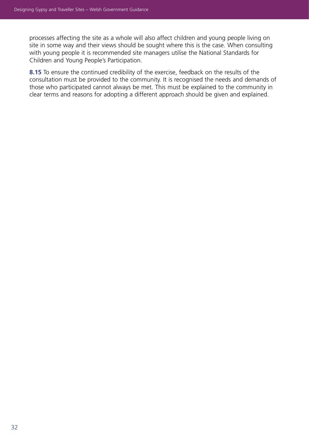processes affecting the site as a whole will also affect children and young people living on site in some way and their views should be sought where this is the case. When consulting with young people it is recommended site managers utilise the National Standards for Children and Young People's Participation.

**8.15** To ensure the continued credibility of the exercise, feedback on the results of the consultation must be provided to the community. It is recognised the needs and demands of those who participated cannot always be met. This must be explained to the community in clear terms and reasons for adopting a different approach should be given and explained.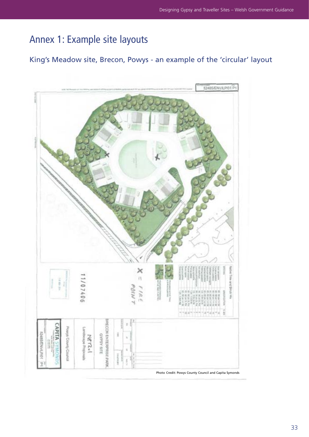# Annex 1: Example site layouts

# King's Meadow site, Brecon, Powys - an example of the 'circular' layout

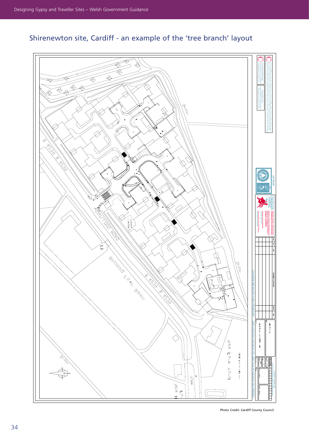

# Shirenewton site, Cardiff - an example of the 'tree branch' layout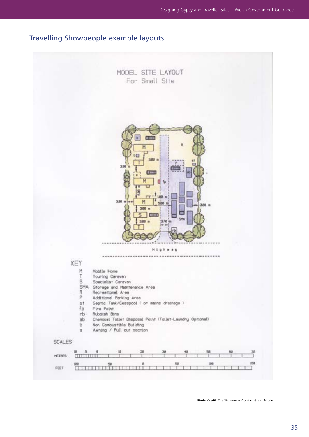# Travelling Showpeople example layouts



Photo Credit: The Showmen's Guild of Great Britain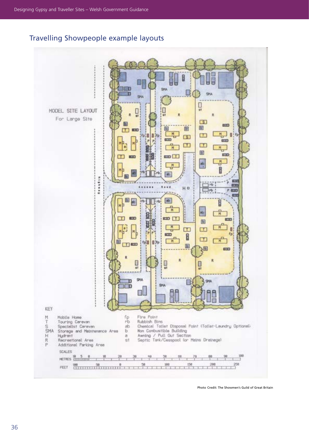# Travelling Showpeople example layouts



Photo Credit: The Showmen's Guild of Great Britain